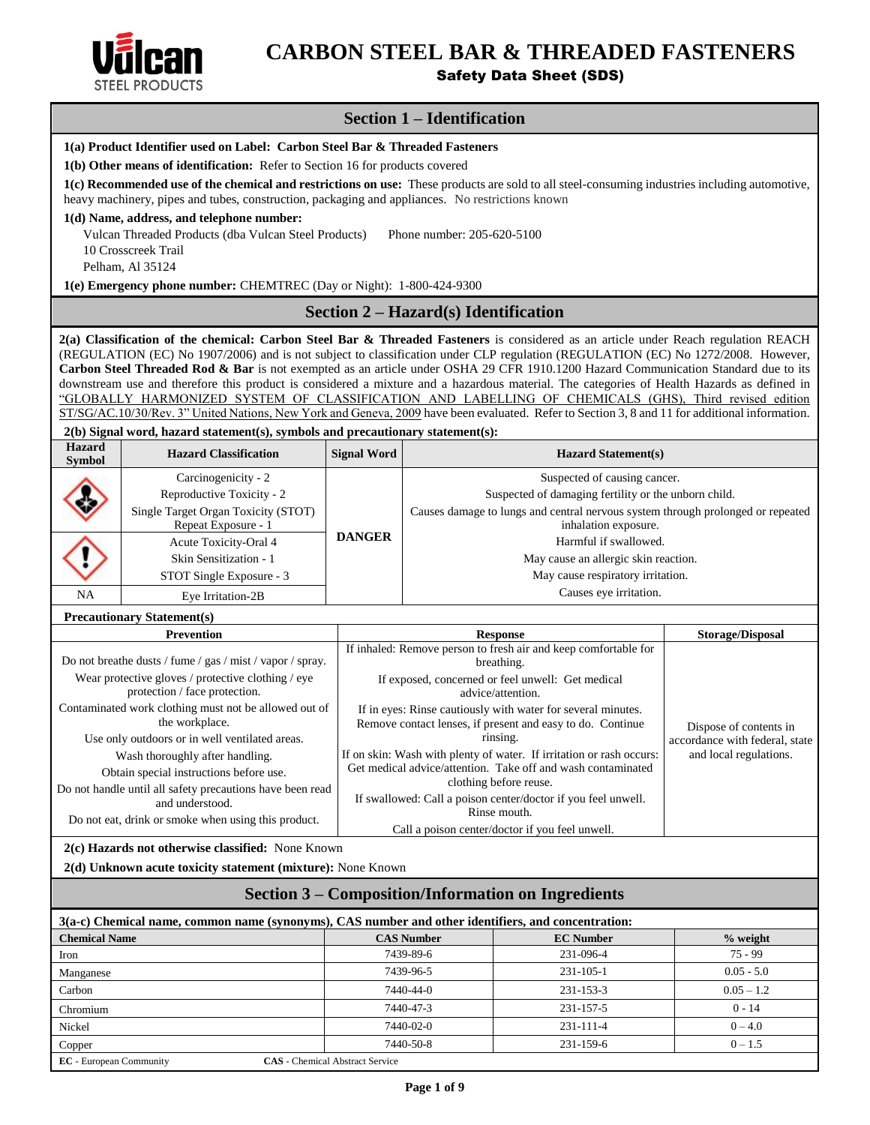

# **CARBON STEEL BAR & THREADED FASTENERS**

Safety Data Sheet (SDS)

# **Section 1 – Identification**

| 1(a) Product Identifier used on Label: Carbon Steel Bar & Threaded Fasteners                                                                                                                                                                                                                                                                                                                                                                                                                                                                                |                                                                                                 |                                                                                                                                              |                                                                                                                                                |                       |  |  |  |
|-------------------------------------------------------------------------------------------------------------------------------------------------------------------------------------------------------------------------------------------------------------------------------------------------------------------------------------------------------------------------------------------------------------------------------------------------------------------------------------------------------------------------------------------------------------|-------------------------------------------------------------------------------------------------|----------------------------------------------------------------------------------------------------------------------------------------------|------------------------------------------------------------------------------------------------------------------------------------------------|-----------------------|--|--|--|
|                                                                                                                                                                                                                                                                                                                                                                                                                                                                                                                                                             | 1(b) Other means of identification: Refer to Section 16 for products covered                    |                                                                                                                                              |                                                                                                                                                |                       |  |  |  |
|                                                                                                                                                                                                                                                                                                                                                                                                                                                                                                                                                             | heavy machinery, pipes and tubes, construction, packaging and appliances. No restrictions known |                                                                                                                                              | 1(c) Recommended use of the chemical and restrictions on use: These products are sold to all steel-consuming industries including automotive,  |                       |  |  |  |
|                                                                                                                                                                                                                                                                                                                                                                                                                                                                                                                                                             | 1(d) Name, address, and telephone number:                                                       |                                                                                                                                              |                                                                                                                                                |                       |  |  |  |
|                                                                                                                                                                                                                                                                                                                                                                                                                                                                                                                                                             | Vulcan Threaded Products (dba Vulcan Steel Products)                                            |                                                                                                                                              | Phone number: 205-620-5100                                                                                                                     |                       |  |  |  |
|                                                                                                                                                                                                                                                                                                                                                                                                                                                                                                                                                             | 10 Crosscreek Trail                                                                             |                                                                                                                                              |                                                                                                                                                |                       |  |  |  |
|                                                                                                                                                                                                                                                                                                                                                                                                                                                                                                                                                             | Pelham, Al 35124                                                                                |                                                                                                                                              |                                                                                                                                                |                       |  |  |  |
|                                                                                                                                                                                                                                                                                                                                                                                                                                                                                                                                                             | 1(e) Emergency phone number: CHEMTREC (Day or Night): 1-800-424-9300                            |                                                                                                                                              |                                                                                                                                                |                       |  |  |  |
|                                                                                                                                                                                                                                                                                                                                                                                                                                                                                                                                                             |                                                                                                 |                                                                                                                                              | Section 2 – Hazard(s) Identification                                                                                                           |                       |  |  |  |
| 2(a) Classification of the chemical: Carbon Steel Bar & Threaded Fasteners is considered as an article under Reach regulation REACH<br>(REGULATION (EC) No 1907/2006) and is not subject to classification under CLP regulation (REGULATION (EC) No 1272/2008. However,<br>Carbon Steel Threaded Rod & Bar is not exempted as an article under OSHA 29 CFR 1910.1200 Hazard Communication Standard due to its<br>downstream use and therefore this product is considered a mixture and a hazardous material. The categories of Health Hazards as defined in |                                                                                                 |                                                                                                                                              |                                                                                                                                                |                       |  |  |  |
|                                                                                                                                                                                                                                                                                                                                                                                                                                                                                                                                                             |                                                                                                 |                                                                                                                                              | "GLOBALLY HARMONIZED SYSTEM OF CLASSIFICATION AND LABELLING OF CHEMICALS (GHS), Third revised edition                                          |                       |  |  |  |
|                                                                                                                                                                                                                                                                                                                                                                                                                                                                                                                                                             |                                                                                                 |                                                                                                                                              | ST/SG/AC.10/30/Rev. 3" United Nations, New York and Geneva, 2009 have been evaluated. Refer to Section 3, 8 and 11 for additional information. |                       |  |  |  |
|                                                                                                                                                                                                                                                                                                                                                                                                                                                                                                                                                             | 2(b) Signal word, hazard statement(s), symbols and precautionary statement(s):                  |                                                                                                                                              |                                                                                                                                                |                       |  |  |  |
| <b>Hazard</b><br><b>Symbol</b>                                                                                                                                                                                                                                                                                                                                                                                                                                                                                                                              | <b>Hazard Classification</b>                                                                    | <b>Signal Word</b>                                                                                                                           | <b>Hazard Statement(s)</b>                                                                                                                     |                       |  |  |  |
|                                                                                                                                                                                                                                                                                                                                                                                                                                                                                                                                                             | Carcinogenicity - 2                                                                             |                                                                                                                                              | Suspected of causing cancer.                                                                                                                   |                       |  |  |  |
|                                                                                                                                                                                                                                                                                                                                                                                                                                                                                                                                                             | Reproductive Toxicity - 2                                                                       |                                                                                                                                              | Suspected of damaging fertility or the unborn child.                                                                                           |                       |  |  |  |
|                                                                                                                                                                                                                                                                                                                                                                                                                                                                                                                                                             | Single Target Organ Toxicity (STOT)<br>Repeat Exposure - 1                                      |                                                                                                                                              | Causes damage to lungs and central nervous system through prolonged or repeated<br>inhalation exposure.                                        |                       |  |  |  |
|                                                                                                                                                                                                                                                                                                                                                                                                                                                                                                                                                             | Acute Toxicity-Oral 4                                                                           | <b>DANGER</b>                                                                                                                                | Harmful if swallowed.                                                                                                                          |                       |  |  |  |
|                                                                                                                                                                                                                                                                                                                                                                                                                                                                                                                                                             | Skin Sensitization - 1                                                                          |                                                                                                                                              | May cause an allergic skin reaction.                                                                                                           |                       |  |  |  |
|                                                                                                                                                                                                                                                                                                                                                                                                                                                                                                                                                             | STOT Single Exposure - 3                                                                        |                                                                                                                                              | May cause respiratory irritation.                                                                                                              |                       |  |  |  |
| <b>NA</b><br>Eye Irritation-2B                                                                                                                                                                                                                                                                                                                                                                                                                                                                                                                              |                                                                                                 |                                                                                                                                              | Causes eye irritation.                                                                                                                         |                       |  |  |  |
|                                                                                                                                                                                                                                                                                                                                                                                                                                                                                                                                                             | <b>Precautionary Statement(s)</b>                                                               |                                                                                                                                              |                                                                                                                                                |                       |  |  |  |
|                                                                                                                                                                                                                                                                                                                                                                                                                                                                                                                                                             | <b>Storage/Disposal</b><br><b>Prevention</b><br><b>Response</b>                                 |                                                                                                                                              |                                                                                                                                                |                       |  |  |  |
| If inhaled: Remove person to fresh air and keep comfortable for                                                                                                                                                                                                                                                                                                                                                                                                                                                                                             |                                                                                                 |                                                                                                                                              |                                                                                                                                                |                       |  |  |  |
| Do not breathe dusts / fume / gas / mist / vapor / spray.<br>breathing.<br>Wear protective gloves / protective clothing / eye                                                                                                                                                                                                                                                                                                                                                                                                                               |                                                                                                 |                                                                                                                                              |                                                                                                                                                |                       |  |  |  |
|                                                                                                                                                                                                                                                                                                                                                                                                                                                                                                                                                             | protection / face protection.                                                                   |                                                                                                                                              | If exposed, concerned or feel unwell: Get medical<br>advice/attention.                                                                         |                       |  |  |  |
|                                                                                                                                                                                                                                                                                                                                                                                                                                                                                                                                                             | Contaminated work clothing must not be allowed out of                                           |                                                                                                                                              | If in eyes: Rinse cautiously with water for several minutes.                                                                                   |                       |  |  |  |
|                                                                                                                                                                                                                                                                                                                                                                                                                                                                                                                                                             | the workplace.                                                                                  | Remove contact lenses, if present and easy to do. Continue<br>Dispose of contents in                                                         |                                                                                                                                                |                       |  |  |  |
|                                                                                                                                                                                                                                                                                                                                                                                                                                                                                                                                                             | Use only outdoors or in well ventilated areas.                                                  | rinsing.<br>accordance with federal, state<br>If on skin: Wash with plenty of water. If irritation or rash occurs:<br>and local regulations. |                                                                                                                                                |                       |  |  |  |
|                                                                                                                                                                                                                                                                                                                                                                                                                                                                                                                                                             | Wash thoroughly after handling.<br>Obtain special instructions before use.                      |                                                                                                                                              | Get medical advice/attention. Take off and wash contaminated                                                                                   |                       |  |  |  |
|                                                                                                                                                                                                                                                                                                                                                                                                                                                                                                                                                             | Do not handle until all safety precautions have been read                                       |                                                                                                                                              | clothing before reuse.                                                                                                                         |                       |  |  |  |
|                                                                                                                                                                                                                                                                                                                                                                                                                                                                                                                                                             | and understood.                                                                                 |                                                                                                                                              | If swallowed: Call a poison center/doctor if you feel unwell.                                                                                  |                       |  |  |  |
|                                                                                                                                                                                                                                                                                                                                                                                                                                                                                                                                                             | Do not eat, drink or smoke when using this product.                                             |                                                                                                                                              | Rinse mouth.<br>Call a poison center/doctor if you feel unwell.                                                                                |                       |  |  |  |
|                                                                                                                                                                                                                                                                                                                                                                                                                                                                                                                                                             | 2(c) Hazards not otherwise classified: None Known                                               |                                                                                                                                              |                                                                                                                                                |                       |  |  |  |
| 2(d) Unknown acute toxicity statement (mixture): None Known                                                                                                                                                                                                                                                                                                                                                                                                                                                                                                 |                                                                                                 |                                                                                                                                              |                                                                                                                                                |                       |  |  |  |
| <b>Section 3 – Composition/Information on Ingredients</b>                                                                                                                                                                                                                                                                                                                                                                                                                                                                                                   |                                                                                                 |                                                                                                                                              |                                                                                                                                                |                       |  |  |  |
| 3(a-c) Chemical name, common name (synonyms), CAS number and other identifiers, and concentration:                                                                                                                                                                                                                                                                                                                                                                                                                                                          |                                                                                                 |                                                                                                                                              |                                                                                                                                                |                       |  |  |  |
| <b>Chemical Name</b><br><b>CAS Number</b><br><b>EC Number</b><br>$%$ weight                                                                                                                                                                                                                                                                                                                                                                                                                                                                                 |                                                                                                 |                                                                                                                                              |                                                                                                                                                |                       |  |  |  |
| Iron                                                                                                                                                                                                                                                                                                                                                                                                                                                                                                                                                        |                                                                                                 |                                                                                                                                              | 231-096-4<br>7439-89-6                                                                                                                         | $75 - 99$             |  |  |  |
| Manganese                                                                                                                                                                                                                                                                                                                                                                                                                                                                                                                                                   |                                                                                                 |                                                                                                                                              | 7439-96-5<br>231-105-1                                                                                                                         | $0.05 - 5.0$          |  |  |  |
| Carbon                                                                                                                                                                                                                                                                                                                                                                                                                                                                                                                                                      |                                                                                                 |                                                                                                                                              | 7440-44-0<br>231-153-3                                                                                                                         | $0.05 - 1.2$          |  |  |  |
| Chromium                                                                                                                                                                                                                                                                                                                                                                                                                                                                                                                                                    |                                                                                                 |                                                                                                                                              | 7440-47-3<br>231-157-5<br>7440-02-0<br>231-111-4                                                                                               | $0 - 14$<br>$0 - 4.0$ |  |  |  |
| Nickel                                                                                                                                                                                                                                                                                                                                                                                                                                                                                                                                                      |                                                                                                 |                                                                                                                                              | 7440-50-8<br>231-159-6                                                                                                                         | $0 - 1.5$             |  |  |  |
| Copper<br><b>EC</b> - European Community                                                                                                                                                                                                                                                                                                                                                                                                                                                                                                                    |                                                                                                 | <b>CAS</b> - Chemical Abstract Service                                                                                                       |                                                                                                                                                |                       |  |  |  |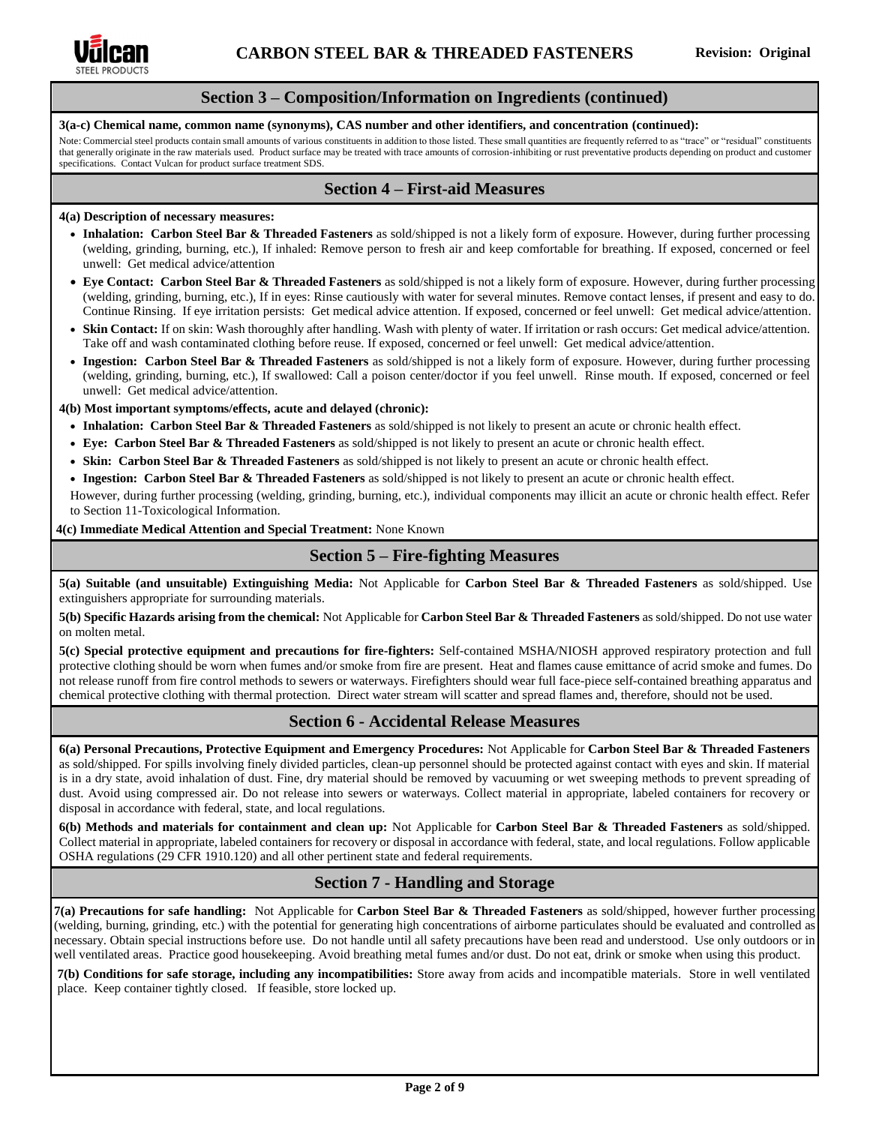

### **Section 3 – Composition/Information on Ingredients (continued)**

### **3(a-c) Chemical name, common name (synonyms), CAS number and other identifiers, and concentration (continued):**

Note: Commercial steel products contain small amounts of various constituents in addition to those listed. These small quantities are frequently referred to as "trace" or "residual" constituents that generally originate in the raw materials used. Product surface may be treated with trace amounts of corrosion-inhibiting or rust preventative products depending on product and customer specifications. Contact Vulcan for product surface treatment SDS.

### **Section 4 – First-aid Measures**

#### **4(a) Description of necessary measures:**

- **Inhalation: Carbon Steel Bar & Threaded Fasteners** as sold/shipped is not a likely form of exposure. However, during further processing (welding, grinding, burning, etc.), If inhaled: Remove person to fresh air and keep comfortable for breathing. If exposed, concerned or feel unwell: Get medical advice/attention
- **Eye Contact: Carbon Steel Bar & Threaded Fasteners** as sold/shipped is not a likely form of exposure. However, during further processing (welding, grinding, burning, etc.), If in eyes: Rinse cautiously with water for several minutes. Remove contact lenses, if present and easy to do. Continue Rinsing. If eye irritation persists: Get medical advice attention. If exposed, concerned or feel unwell: Get medical advice/attention.
- **Skin Contact:** If on skin: Wash thoroughly after handling. Wash with plenty of water. If irritation or rash occurs: Get medical advice/attention. Take off and wash contaminated clothing before reuse. If exposed, concerned or feel unwell: Get medical advice/attention.
- **Ingestion: Carbon Steel Bar & Threaded Fasteners** as sold/shipped is not a likely form of exposure. However, during further processing (welding, grinding, burning, etc.), If swallowed: Call a poison center/doctor if you feel unwell. Rinse mouth. If exposed, concerned or feel unwell: Get medical advice/attention.

**4(b) Most important symptoms/effects, acute and delayed (chronic):**

- **Inhalation: Carbon Steel Bar & Threaded Fasteners** as sold/shipped is not likely to present an acute or chronic health effect.
- **Eye: Carbon Steel Bar & Threaded Fasteners** as sold/shipped is not likely to present an acute or chronic health effect.
- **Skin: Carbon Steel Bar & Threaded Fasteners** as sold/shipped is not likely to present an acute or chronic health effect.
- **Ingestion: Carbon Steel Bar & Threaded Fasteners** as sold/shipped is not likely to present an acute or chronic health effect.

However, during further processing (welding, grinding, burning, etc.), individual components may illicit an acute or chronic health effect. Refer to Section 11-Toxicological Information.

### **4(c) Immediate Medical Attention and Special Treatment:** None Known

### **Section 5 – Fire-fighting Measures**

**5(a) Suitable (and unsuitable) Extinguishing Media:** Not Applicable for **Carbon Steel Bar & Threaded Fasteners** as sold/shipped. Use extinguishers appropriate for surrounding materials.

**5(b) Specific Hazards arising from the chemical:** Not Applicable for **Carbon Steel Bar & Threaded Fasteners** as sold/shipped. Do not use water on molten metal.

**5(c) Special protective equipment and precautions for fire-fighters:** Self-contained MSHA/NIOSH approved respiratory protection and full protective clothing should be worn when fumes and/or smoke from fire are present. Heat and flames cause emittance of acrid smoke and fumes. Do not release runoff from fire control methods to sewers or waterways. Firefighters should wear full face-piece self-contained breathing apparatus and chemical protective clothing with thermal protection. Direct water stream will scatter and spread flames and, therefore, should not be used.

# **Section 6 - Accidental Release Measures**

**6(a) Personal Precautions, Protective Equipment and Emergency Procedures:** Not Applicable for **Carbon Steel Bar & Threaded Fasteners**  as sold/shipped. For spills involving finely divided particles, clean-up personnel should be protected against contact with eyes and skin. If material is in a dry state, avoid inhalation of dust. Fine, dry material should be removed by vacuuming or wet sweeping methods to prevent spreading of dust. Avoid using compressed air. Do not release into sewers or waterways. Collect material in appropriate, labeled containers for recovery or disposal in accordance with federal, state, and local regulations.

**6(b) Methods and materials for containment and clean up:** Not Applicable for **Carbon Steel Bar & Threaded Fasteners** as sold/shipped. Collect material in appropriate, labeled containers for recovery or disposal in accordance with federal, state, and local regulations. Follow applicable OSHA regulations (29 CFR 1910.120) and all other pertinent state and federal requirements.

# **Section 7 - Handling and Storage**

**7(a) Precautions for safe handling:** Not Applicable for **Carbon Steel Bar & Threaded Fasteners** as sold/shipped, however further processing (welding, burning, grinding, etc.) with the potential for generating high concentrations of airborne particulates should be evaluated and controlled as necessary. Obtain special instructions before use. Do not handle until all safety precautions have been read and understood. Use only outdoors or in well ventilated areas. Practice good housekeeping. Avoid breathing metal fumes and/or dust. Do not eat, drink or smoke when using this product.

**7(b) Conditions for safe storage, including any incompatibilities:** Store away from acids and incompatible materials. Store in well ventilated place. Keep container tightly closed. If feasible, store locked up.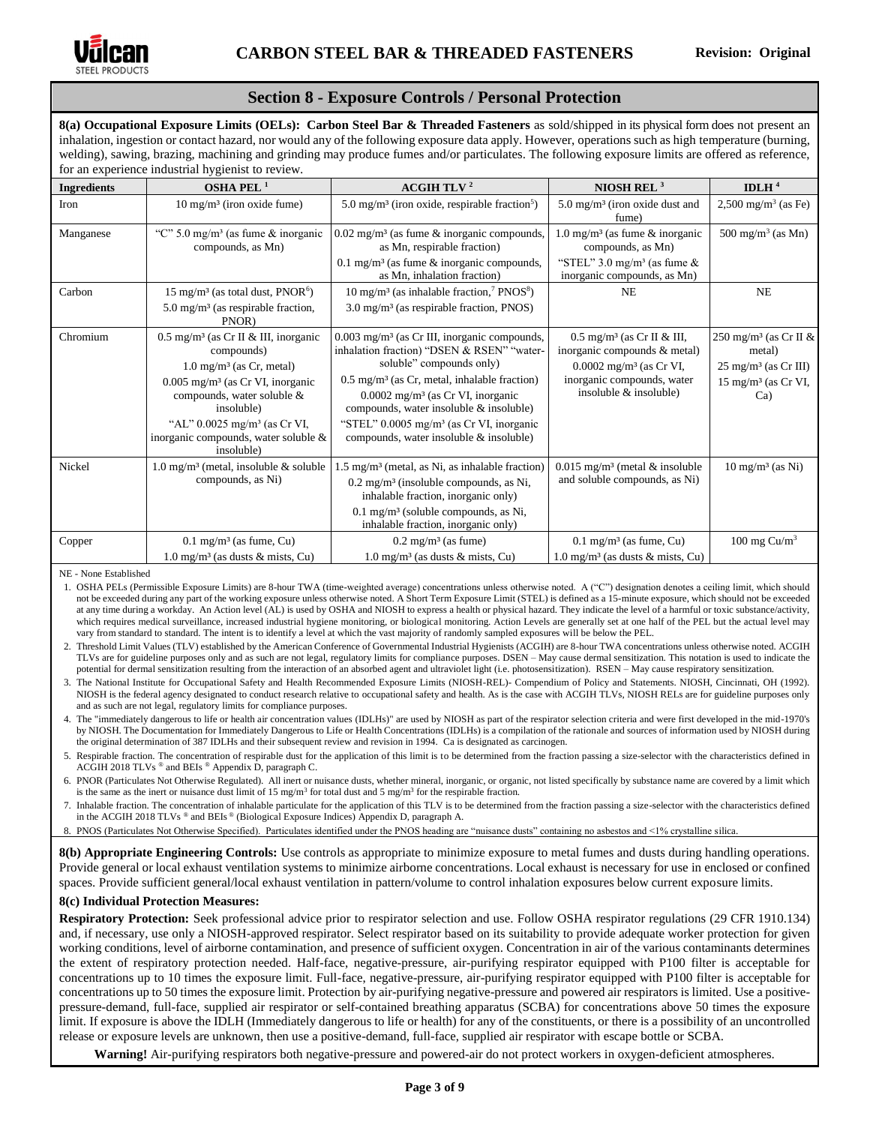

# **Section 8 - Exposure Controls / Personal Protection**

**8(a) Occupational Exposure Limits (OELs): Carbon Steel Bar & Threaded Fasteners** as sold/shipped in its physical form does not present an inhalation, ingestion or contact hazard, nor would any of the following exposure data apply. However, operations such as high temperature (burning, welding), sawing, brazing, machining and grinding may produce fumes and/or particulates. The following exposure limits are offered as reference, for an experience industrial hygienist to review.

| <b>Ingredients</b> | OSHA PEL <sup>1</sup>                                                                                                                                                                              | <b>ACGIH TLV<sup>2</sup></b>                                                                                                                                                                                                                                                                     | NIOSH REL $3$                                                                                                                                                          | IDLH $4$                                                                                                                  |
|--------------------|----------------------------------------------------------------------------------------------------------------------------------------------------------------------------------------------------|--------------------------------------------------------------------------------------------------------------------------------------------------------------------------------------------------------------------------------------------------------------------------------------------------|------------------------------------------------------------------------------------------------------------------------------------------------------------------------|---------------------------------------------------------------------------------------------------------------------------|
| Iron               | 10 mg/m <sup>3</sup> (iron oxide fume)                                                                                                                                                             | 5.0 mg/m <sup>3</sup> (iron oxide, respirable fraction <sup>5</sup> )                                                                                                                                                                                                                            | $5.0 \text{ mg/m}^3$ (iron oxide dust and<br>fume)                                                                                                                     | $2,500 \text{ mg/m}^3$ (as Fe)                                                                                            |
| Manganese          | "C" 5.0 mg/m <sup>3</sup> (as fume $\&$ inorganic<br>compounds, as Mn)                                                                                                                             | $0.02$ mg/m <sup>3</sup> (as fume $\&$ inorganic compounds,<br>as Mn, respirable fraction)                                                                                                                                                                                                       | $1.0 \text{ mg/m}^3$ (as fume & inorganic<br>compounds, as Mn)                                                                                                         | $500 \text{ mg/m}^3$ (as Mn)                                                                                              |
|                    |                                                                                                                                                                                                    | 0.1 mg/m <sup>3</sup> (as fume $\&$ inorganic compounds,<br>as Mn, inhalation fraction)                                                                                                                                                                                                          | "STEL" $3.0 \text{ mg/m}^3$ (as fume &<br>inorganic compounds, as Mn)                                                                                                  |                                                                                                                           |
| Carbon             | $15 \text{ mg/m}^3$ (as total dust, PNOR <sup>6</sup> )                                                                                                                                            | 10 mg/m <sup>3</sup> (as inhalable fraction, <sup>7</sup> PNOS <sup>8</sup> )                                                                                                                                                                                                                    | <b>NE</b>                                                                                                                                                              | NE                                                                                                                        |
|                    | $5.0 \text{ mg/m}^3$ (as respirable fraction,<br>PNOR)                                                                                                                                             | $3.0 \text{ mg/m}^3$ (as respirable fraction, PNOS)                                                                                                                                                                                                                                              |                                                                                                                                                                        |                                                                                                                           |
| Chromium           | $0.5 \text{ mg/m}^3$ (as Cr II & III, inorganic<br>compounds)<br>$1.0 \text{ mg/m}^3$ (as Cr, metal)<br>$0.005$ mg/m <sup>3</sup> (as Cr VI, inorganic<br>compounds, water soluble &<br>insoluble) | $0.003$ mg/m <sup>3</sup> (as Cr III, inorganic compounds,<br>inhalation fraction) "DSEN & RSEN" "water-<br>soluble" compounds only)<br>$0.5$ mg/m <sup>3</sup> (as Cr, metal, inhalable fraction)<br>$0.0002$ mg/m <sup>3</sup> (as Cr VI, inorganic<br>compounds, water insoluble & insoluble) | $0.5 \text{ mg/m}^3$ (as Cr II & III,<br>inorganic compounds & metal)<br>$0.0002$ mg/m <sup>3</sup> (as Cr VI,<br>inorganic compounds, water<br>insoluble & insoluble) | 250 mg/m <sup>3</sup> (as Cr II $\&$<br>metal)<br>$25 \text{ mg/m}^3$ (as Cr III)<br>$15 \text{ mg/m}^3$ (as Cr VI,<br>Ca |
|                    | "AL" $0.0025$ mg/m <sup>3</sup> (as Cr VI,<br>inorganic compounds, water soluble &<br>insoluble)                                                                                                   | "STEL" $0.0005$ mg/m <sup>3</sup> (as Cr VI, inorganic<br>compounds, water insoluble & insoluble)                                                                                                                                                                                                |                                                                                                                                                                        |                                                                                                                           |
| Nickel             | $1.0 \text{ mg/m}^3$ (metal, insoluble & soluble<br>compounds, as Ni)                                                                                                                              | $1.5 \text{ mg/m}^3$ (metal, as Ni, as inhalable fraction)<br>$0.2 \text{ mg/m}^3$ (insoluble compounds, as Ni,<br>inhalable fraction, inorganic only)<br>$0.1 \text{ mg/m}^3$ (soluble compounds, as Ni,<br>inhalable fraction, inorganic only)                                                 | $0.015$ mg/m <sup>3</sup> (metal & insoluble<br>and soluble compounds, as Ni)                                                                                          | $10 \text{ mg/m}^3$ (as Ni)                                                                                               |
| Copper             | $0.1$ mg/m <sup>3</sup> (as fume, Cu)                                                                                                                                                              | $0.2 \text{ mg/m}^3$ (as fume)                                                                                                                                                                                                                                                                   | $0.1 \text{ mg/m}^3$ (as fume, Cu)                                                                                                                                     | 100 mg $Cu/m3$                                                                                                            |
|                    | $1.0 \text{ mg/m}^3$ (as dusts & mists, Cu)                                                                                                                                                        | $1.0 \text{ mg/m}^3$ (as dusts & mists, Cu)                                                                                                                                                                                                                                                      | $1.0 \text{ mg/m}^3$ (as dusts & mists, Cu)                                                                                                                            |                                                                                                                           |

NE - None Established

1. OSHA PELs (Permissible Exposure Limits) are 8-hour TWA (time-weighted average) concentrations unless otherwise noted. A ("C") designation denotes a ceiling limit, which should not be exceeded during any part of the working exposure unless otherwise noted. A Short Term Exposure Limit (STEL) is defined as a 15-minute exposure, which should not be exceeded at any time during a workday. An Action level (AL) is used b[y OSHA](http://www.ilpi.com/msds/ref/osha.html) an[d NIOSH](http://www.ilpi.com/msds/ref/niosh.html) to express a health or physical hazard. They indicate the level of a harmful or toxic substance/activity, which requires medical surveillance, increased industrial hygiene monitoring, or biological monitoring. Action Levels are generally set at one half of the PEL but the actual level may vary from standard to standard. The intent is to identify a level at which the vast majority of randomly sampled exposures will be below the PEL.

2. Threshold Limit Values (TLV) established by the American Conference of Governmental Industrial Hygienists (ACGIH) are 8-hour TWA concentrations unless otherwise noted. ACGIH TLVs are for guideline purposes only and as such are not legal, regulatory limits for compliance purposes. DSEN – May cause dermal sensitization. This notation is used to indicate the potential for dermal sensitization resulting from the interaction of an absorbed agent and ultraviolet light (i.e. photosensitization). RSEN – May cause respiratory sensitization.

3. The National Institute for Occupational Safety and Health Recommended Exposure Limits (NIOSH-REL)- Compendium of Policy and Statements. NIOSH, Cincinnati, OH (1992). NIOSH is the federal agency designated to conduct research relative to occupational safety and health. As is the case with ACGIH TLVs, NIOSH RELs are for guideline purposes only and as such are not legal, regulatory limits for compliance purposes.

4. The "immediately dangerous to life or health air concentration values (IDLHs)" are used by NIOSH as part of the respirator selection criteria and were first developed in the mid-1970's by NIOSH. The Documentation for Immediately Dangerous to Life or Health Concentrations (IDLHs) is a compilation of the rationale and sources of information used by NIOSH during the original determination of 387 IDLHs and their subsequent review and revision in 1994. Ca is designated as carcinogen.

5. Respirable fraction. The concentration of respirable dust for the application of this limit is to be determined from the fraction passing a size-selector with the characteristics defined in ACGIH 2018 TLVs ® and BEIs ® Appendix D, paragraph C.

6. PNOR (Particulates Not Otherwise Regulated). All inert or nuisance dusts, whether mineral, inorganic, or organic, not listed specifically by substance name are covered by a limit which is the same as the inert or nuisance dust limit of 15 mg/m<sup>3</sup> for total dust and 5 mg/m<sup>3</sup> for the respirable fraction.

7. Inhalable fraction. The concentration of inhalable particulate for the application of this TLV is to be determined from the fraction passing a size-selector with the characteristics defined in the ACGIH 2018 TLVs ® and BEIs ® (Biological Exposure Indices) Appendix D, paragraph A.

8. PNOS (Particulates Not Otherwise Specified). Particulates identified under the PNOS heading are "nuisance dusts" containing no asbestos and <1% crystalline silica.

**8(b) Appropriate Engineering Controls:** Use controls as appropriate to minimize exposure to metal fumes and dusts during handling operations. Provide general or local exhaust ventilation systems to minimize airborne concentrations. Local exhaust is necessary for use in enclosed or confined spaces. Provide sufficient general/local exhaust ventilation in pattern/volume to control inhalation exposures below current exposure limits.

### **8(c) Individual Protection Measures:**

**Respiratory Protection:** Seek professional advice prior to respirator selection and use. Follow OSHA respirator regulations (29 CFR 1910.134) and, if necessary, use only a NIOSH-approved respirator. Select respirator based on its suitability to provide adequate worker protection for given working conditions, level of airborne contamination, and presence of sufficient oxygen. Concentration in air of the various contaminants determines the extent of respiratory protection needed. Half-face, negative-pressure, air-purifying respirator equipped with P100 filter is acceptable for concentrations up to 10 times the exposure limit. Full-face, negative-pressure, air-purifying respirator equipped with P100 filter is acceptable for concentrations up to 50 times the exposure limit. Protection by air-purifying negative-pressure and powered air respirators is limited. Use a positivepressure-demand, full-face, supplied air respirator or self-contained breathing apparatus (SCBA) for concentrations above 50 times the exposure limit. If exposure is above the IDLH (Immediately dangerous to life or health) for any of the constituents, or there is a possibility of an uncontrolled release or exposure levels are unknown, then use a positive-demand, full-face, supplied air respirator with escape bottle or SCBA.

**Warning!** Air-purifying respirators both negative-pressure and powered-air do not protect workers in oxygen-deficient atmospheres.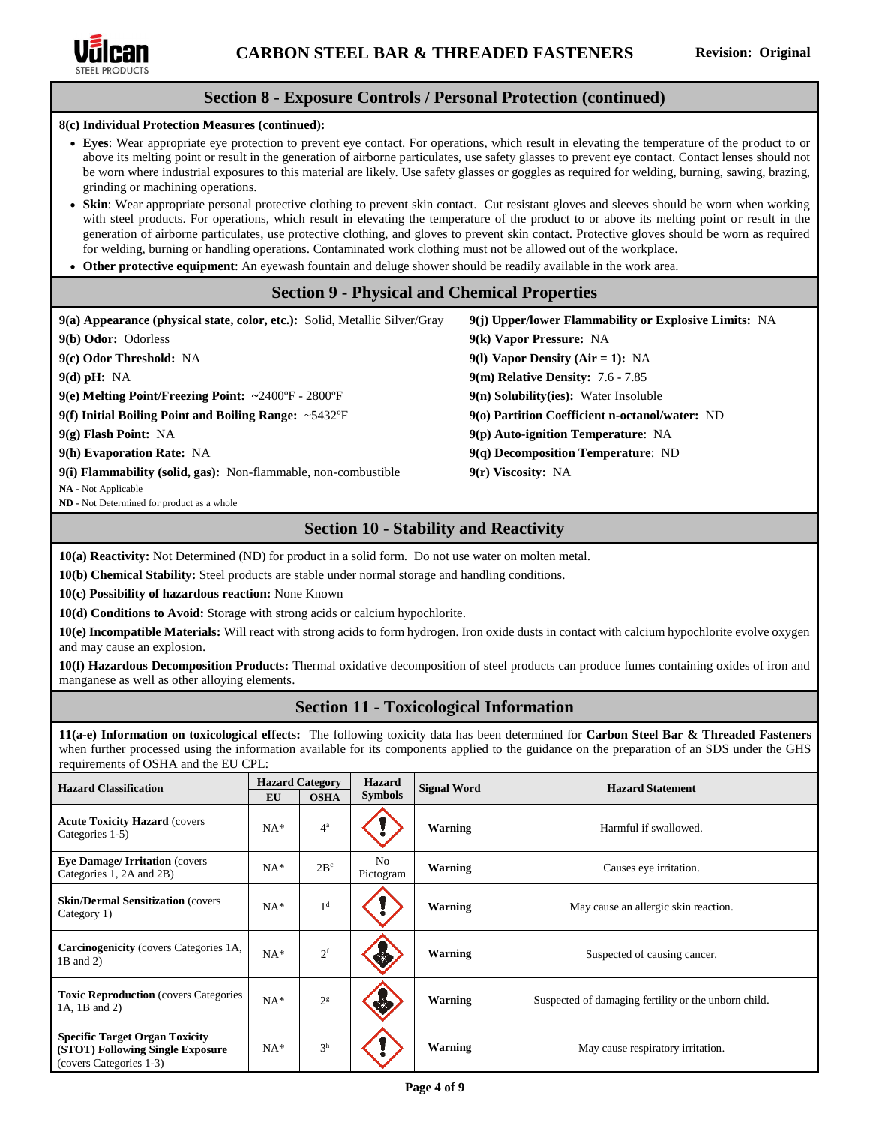

# **Section 8 - Exposure Controls / Personal Protection (continued)**

**8(c) Individual Protection Measures (continued):**

- **Eyes**: Wear appropriate eye protection to prevent eye contact. For operations, which result in elevating the temperature of the product to or above its melting point or result in the generation of airborne particulates, use safety glasses to prevent eye contact. Contact lenses should not be worn where industrial exposures to this material are likely. Use safety glasses or goggles as required for welding, burning, sawing, brazing, grinding or machining operations.
- **Skin**: Wear appropriate personal protective clothing to prevent skin contact. Cut resistant gloves and sleeves should be worn when working with steel products. For operations, which result in elevating the temperature of the product to or above its melting point or result in the generation of airborne particulates, use protective clothing, and gloves to prevent skin contact. Protective gloves should be worn as required for welding, burning or handling operations. Contaminated work clothing must not be allowed out of the workplace.
- **Other protective equipment**: An eyewash fountain and deluge shower should be readily available in the work area.

# **Section 9 - Physical and Chemical Properties**

| 9(a) Appearance (physical state, color, etc.): Solid, Metallic Silver/Gray | 9(j) Upper/lower Flammability or Explosive Limits: NA |
|----------------------------------------------------------------------------|-------------------------------------------------------|
| 9(b) Odor: Odorless                                                        | 9(k) Vapor Pressure: NA                               |
| 9(c) Odor Threshold: NA                                                    | 9(1) Vapor Density (Air = 1): NA                      |
| $9(d)$ pH: NA                                                              | 9(m) Relative Density: 7.6 - 7.85                     |
| $9(e)$ Melting Point/Freezing Point: ~2400°F - 2800°F                      | $9(n)$ Solubility(ies): Water Insoluble               |
| 9(f) Initial Boiling Point and Boiling Range: $\sim$ 5432°F                | 9(o) Partition Coefficient n-octanol/water: ND        |
| $9(g)$ Flash Point: NA                                                     | $9(p)$ Auto-ignition Temperature: NA                  |
| 9(h) Evaporation Rate: NA                                                  | $9(q)$ Decomposition Temperature: ND                  |
| 9(i) Flammability (solid, gas): Non-flammable, non-combustible             | $9(r)$ Viscosity: NA                                  |
| NA - Not Applicable<br>ND - Not Determined for product as a whole          |                                                       |

# **Section 10 - Stability and Reactivity**

**10(a) Reactivity:** Not Determined (ND) for product in a solid form. Do not use water on molten metal.

**10(b) Chemical Stability:** Steel products are stable under normal storage and handling conditions.

**10(c) Possibility of hazardous reaction:** None Known

**10(d) Conditions to Avoid:** Storage with strong acids or calcium hypochlorite.

**10(e) Incompatible Materials:** Will react with strong acids to form hydrogen. Iron oxide dusts in contact with calcium hypochlorite evolve oxygen and may cause an explosion.

**10(f) Hazardous Decomposition Products:** Thermal oxidative decomposition of steel products can produce fumes containing oxides of iron and manganese as well as other alloying elements.

# **Section 11 - Toxicological Information**

**11(a-e) Information on toxicological effects:** The following toxicity data has been determined for **Carbon Steel Bar & Threaded Fasteners**  when further processed using the information available for its components applied to the guidance on the preparation of an SDS under the GHS requirements of OSHA and the EU CPL:

| <b>Hazard Classification</b>                                                                         | <b>Hazard Category</b><br><b>EU</b> | <b>OSHA</b>     | <b>Hazard</b><br><b>Symbols</b> | <b>Signal Word</b> | <b>Hazard Statement</b>                              |
|------------------------------------------------------------------------------------------------------|-------------------------------------|-----------------|---------------------------------|--------------------|------------------------------------------------------|
| <b>Acute Toxicity Hazard (covers)</b><br>Categories 1-5)                                             | $NA*$                               | $4^a$           |                                 | Warning            | Harmful if swallowed.                                |
| <b>Eye Damage/ Irritation (covers)</b><br>Categories 1, 2A and 2B)                                   | $NA*$                               | 2B <sup>c</sup> | No<br>Pictogram                 | Warning            | Causes eye irritation.                               |
| <b>Skin/Dermal Sensitization (covers)</b><br>Category 1)                                             | $NA*$                               | 1 <sup>d</sup>  |                                 | <b>Warning</b>     | May cause an allergic skin reaction.                 |
| <b>Carcinogenicity</b> (covers Categories 1A,<br>1B and 2)                                           | $NA*$                               | $2^{\rm f}$     |                                 | Warning            | Suspected of causing cancer.                         |
| <b>Toxic Reproduction</b> (covers Categories<br>1A, 1B and 2)                                        | $NA*$                               | 2 <sup>g</sup>  |                                 | Warning            | Suspected of damaging fertility or the unborn child. |
| <b>Specific Target Organ Toxicity</b><br>(STOT) Following Single Exposure<br>(covers Categories 1-3) | $NA*$                               | 3 <sup>h</sup>  |                                 | <b>Warning</b>     | May cause respiratory irritation.                    |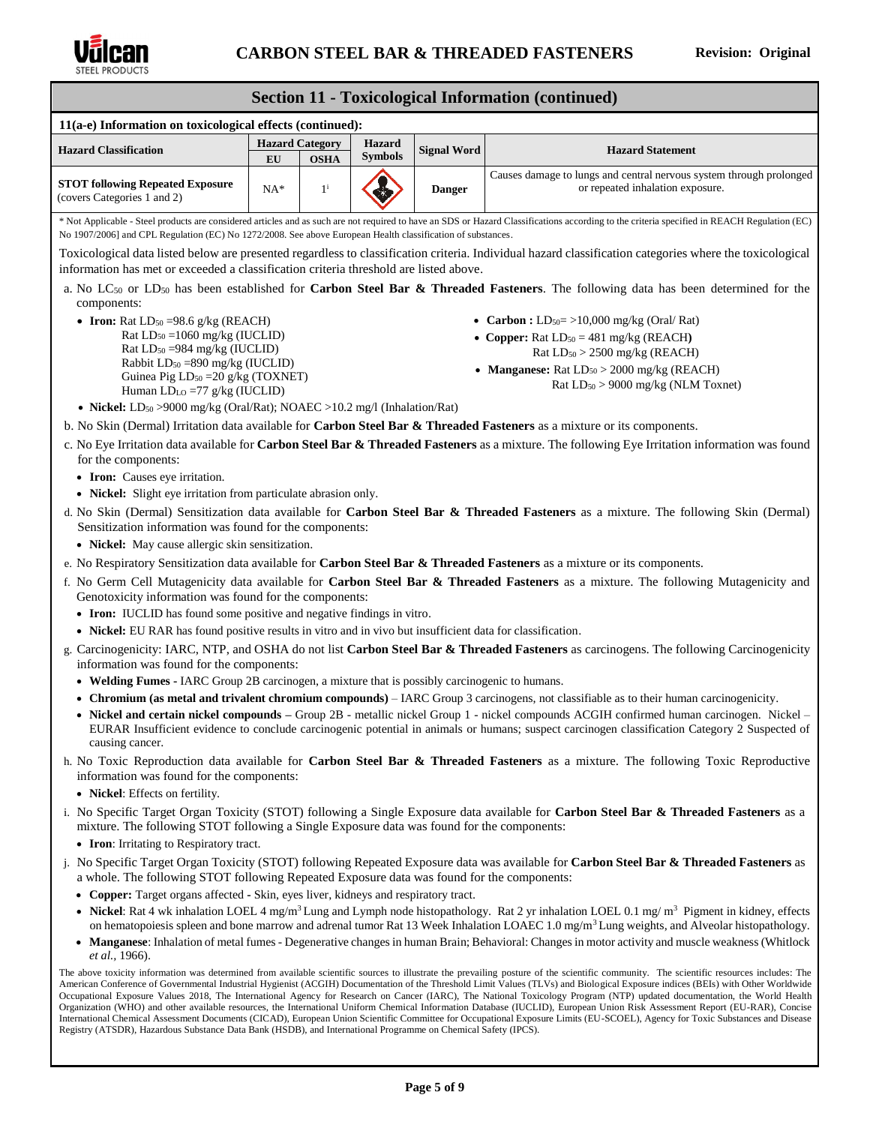

#### **CARBON STEEL BAR & THREADED FASTENERS Revision: Original Section 11 - Toxicological Information (continued) 11(a-e) Information on toxicological effects (continued): Hazard Classification Hazard Category Hazard Hazard Hazard Hazard Hazard Hazard Hazard Hazard Hazard Hazard Hazard Hazard Hazard Hazard Hazard Hazard Hazard Hazard Hazard Hazard Signal Word Hazard Statement EU OSHA STOT following Repeated Exposure** (covers Categories 1 and 2)  $NA^*$   $1^i$ <sup>i</sup> **Danger** Causes damage to lungs and central nervous system through prolonged or repeated inhalation exposure. \* Not Applicable - Steel products are considered articles and as such are not required to have an SDS or Hazard Classifications according to the criteria specified in REACH Regulation (EC) No 1907/2006] and CPL Regulation (EC) No 1272/2008. See above European Health classification of substances. Toxicological data listed below are presented regardless to classification criteria. Individual hazard classification categories where the toxicological information has met or exceeded a classification criteria threshold are listed above. a. No LC<sup>50</sup> or LD<sup>50</sup> has been established for **Carbon Steel Bar & Threaded Fasteners**. The following data has been determined for the components: • **Iron:** Rat  $LD_{50} = 98.6$  g/kg (REACH) Rat LD<sup>50</sup> =1060 mg/kg (IUCLID) Rat  $LD_{50} = 984$  mg/kg (IUCLID) Rabbit  $LD_{50} = 890$  mg/kg (IUCLID) Guinea Pig LD<sup>50</sup> =20 g/kg (TOXNET) Human LDLO =77 g/kg (IUCLID) • **Nickel:** LD<sub>50</sub> > 9000 mg/kg (Oral/Rat); NOAEC > 10.2 mg/l (Inhalation/Rat) • **Carbon :**  $LD_{50} = >10,000$  mg/kg (Oral/Rat) • **Copper:** Rat  $LD_{50} = 481$  mg/kg (REACH) Rat LD<sup>50</sup> > 2500 mg/kg (REACH) • **Manganese:** Rat  $LD_{50} > 2000$  mg/kg (REACH) Rat LD<sup>50</sup> > 9000 mg/kg (NLM Toxnet) b. No Skin (Dermal) Irritation data available for **Carbon Steel Bar & Threaded Fasteners** as a mixture or its components. c. No Eye Irritation data available for **Carbon Steel Bar & Threaded Fasteners** as a mixture. The following Eye Irritation information was found for the components: • **Iron:** Causes eye irritation. • **Nickel:** Slight eye irritation from particulate abrasion only. d. No Skin (Dermal) Sensitization data available for **Carbon Steel Bar & Threaded Fasteners** as a mixture. The following Skin (Dermal) Sensitization information was found for the components: • **Nickel:** May cause allergic skin sensitization. e. No Respiratory Sensitization data available for **Carbon Steel Bar & Threaded Fasteners** as a mixture or its components. f. No Germ Cell Mutagenicity data available for **Carbon Steel Bar & Threaded Fasteners** as a mixture. The following Mutagenicity and Genotoxicity information was found for the components: • **Iron:** IUCLID has found some positive and negative findings in vitro. • **Nickel:** EU RAR has found positive results in vitro and in vivo but insufficient data for classification. g. Carcinogenicity: IARC, NTP, and OSHA do not list **Carbon Steel Bar & Threaded Fasteners** as carcinogens. The following Carcinogenicity information was found for the components: • **Welding Fumes -** IARC Group 2B carcinogen, a mixture that is possibly carcinogenic to humans. • **Chromium (as metal and trivalent chromium compounds)** – IARC Group 3 carcinogens, not classifiable as to their human carcinogenicity. • **Nickel and certain nickel compounds –** Group 2B - metallic nickel Group 1 - nickel compounds ACGIH confirmed human carcinogen. Nickel – EURAR Insufficient evidence to conclude carcinogenic potential in animals or humans; suspect carcinogen classification Category 2 Suspected of causing cancer. h. No Toxic Reproduction data available for **Carbon Steel Bar & Threaded Fasteners** as a mixture. The following Toxic Reproductive information was found for the components: • **Nickel**: Effects on fertility. i. No Specific Target Organ Toxicity (STOT) following a Single Exposure data available for **Carbon Steel Bar & Threaded Fasteners** as a mixture. The following STOT following a Single Exposure data was found for the components: • **Iron**: Irritating to Respiratory tract. j. No Specific Target Organ Toxicity (STOT) following Repeated Exposure data was available for **Carbon Steel Bar & Threaded Fasteners** as a whole. The following STOT following Repeated Exposure data was found for the components: • **Copper:** Target organs affected **-** Skin, eyes liver, kidneys and respiratory tract. Nickel: Rat 4 wk inhalation LOEL 4 mg/m<sup>3</sup> Lung and Lymph node histopathology. Rat 2 yr inhalation LOEL 0.1 mg/ m<sup>3</sup> Pigment in kidney, effects on hematopoiesis spleen and bone marrow and adrenal tumor Rat 13 Week Inhalation LOAEC 1.0 mg/m<sup>3</sup> Lung weights, and Alveolar histopathology.

• **Manganese**: Inhalation of metal fumes - Degenerative changes in human Brain; Behavioral: Changes in motor activity and muscle weakness (Whitlock *et al.,* 1966).

The above toxicity information was determined from available scientific sources to illustrate the prevailing posture of the scientific community. The scientific resources includes: The American Conference of Governmental Industrial Hygienist (ACGIH) Documentation of the Threshold Limit Values (TLVs) and Biological Exposure indices (BEIs) with Other Worldwide Occupational Exposure Values 2018, The International Agency for Research on Cancer (IARC), The National Toxicology Program (NTP) updated documentation, the World Health Organization (WHO) and other available resources, the International Uniform Chemical Information Database (IUCLID), European Union Risk Assessment Report (EU-RAR), Concise International Chemical Assessment Documents (CICAD), European Union Scientific Committee for Occupational Exposure Limits (EU-SCOEL), Agency for Toxic Substances and Disease Registry (ATSDR), Hazardous Substance Data Bank (HSDB), and International Programme on Chemical Safety (IPCS).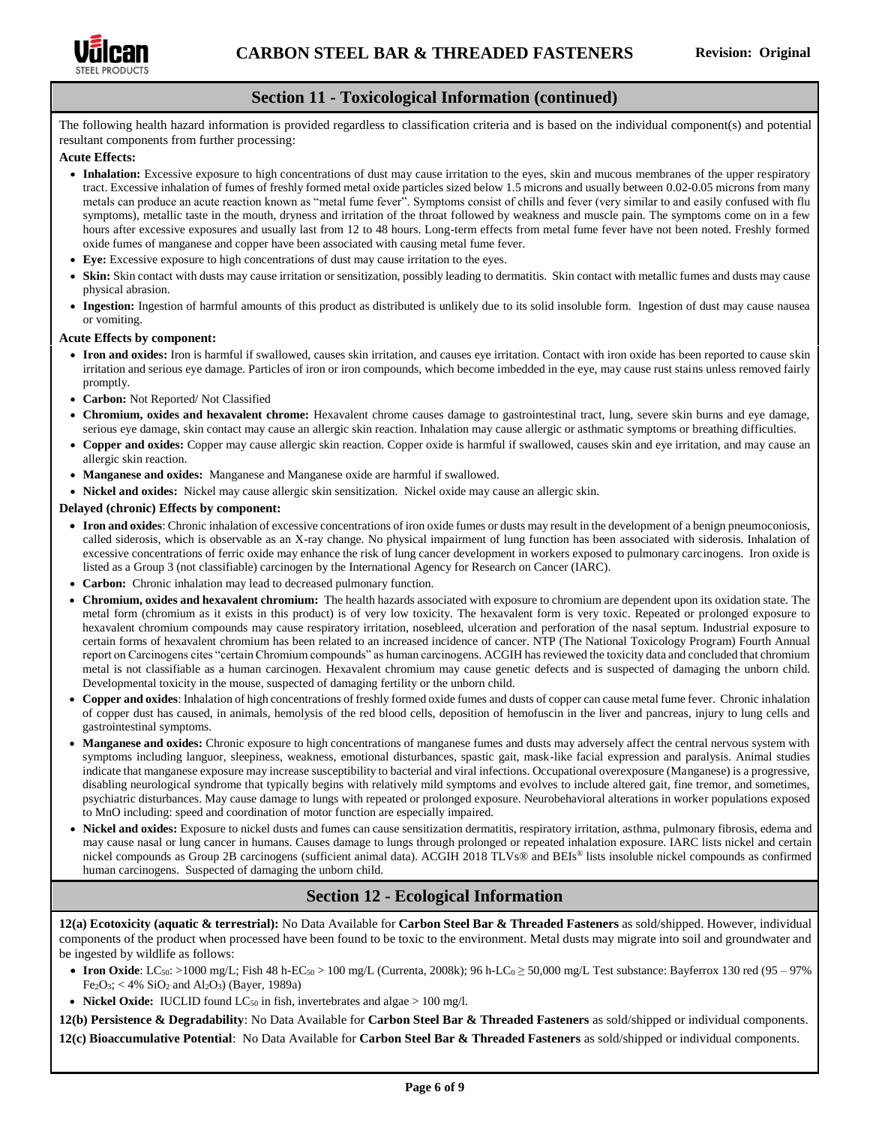

# **Section 11 - Toxicological Information (continued)**

The following health hazard information is provided regardless to classification criteria and is based on the individual component(s) and potential resultant components from further processing:

### **Acute Effects:**

- **Inhalation:** Excessive exposure to high concentrations of dust may cause irritation to the eyes, skin and mucous membranes of the upper respiratory tract. Excessive inhalation of fumes of freshly formed metal oxide particles sized below 1.5 microns and usually between 0.02-0.05 microns from many metals can produce an acute reaction known as "metal fume fever". Symptoms consist of chills and fever (very similar to and easily confused with flu symptoms), metallic taste in the mouth, dryness and irritation of the throat followed by weakness and muscle pain. The symptoms come on in a few hours after excessive exposures and usually last from 12 to 48 hours. Long-term effects from metal fume fever have not been noted. Freshly formed oxide fumes of manganese and copper have been associated with causing metal fume fever.
- **Eye:** Excessive exposure to high concentrations of dust may cause irritation to the eyes.
- **Skin:** Skin contact with dusts may cause irritation or sensitization, possibly leading to dermatitis. Skin contact with metallic fumes and dusts may cause physical abrasion.
- **Ingestion:** Ingestion of harmful amounts of this product as distributed is unlikely due to its solid insoluble form. Ingestion of dust may cause nausea or vomiting.

#### **Acute Effects by component:**

- **Iron and oxides:** Iron is harmful if swallowed, causes skin irritation, and causes eye irritation. Contact with iron oxide has been reported to cause skin irritation and serious eye damage. Particles of iron or iron compounds, which become imbedded in the eye, may cause rust stains unless removed fairly promptly.
- **Carbon:** Not Reported/ Not Classified
- **Chromium, oxides and hexavalent chrome:** Hexavalent chrome causes damage to gastrointestinal tract, lung, severe skin burns and eye damage, serious eye damage, skin contact may cause an allergic skin reaction. Inhalation may cause allergic or asthmatic symptoms or breathing difficulties.
- **Copper and oxides:** Copper may cause allergic skin reaction. Copper oxide is harmful if swallowed, causes skin and eye irritation, and may cause an allergic skin reaction.
- **Manganese and oxides:** Manganese and Manganese oxide are harmful if swallowed.
- **Nickel and oxides:** Nickel may cause allergic skin sensitization. Nickel oxide may cause an allergic skin.

#### **Delayed (chronic) Effects by component:**

- **Iron and oxides**: Chronic inhalation of excessive concentrations of iron oxide fumes or dusts may result in the development of a benign pneumoconiosis, called siderosis, which is observable as an X-ray change. No physical impairment of lung function has been associated with siderosis. Inhalation of excessive concentrations of ferric oxide may enhance the risk of lung cancer development in workers exposed to pulmonary carcinogens. Iron oxide is listed as a Group 3 (not classifiable) carcinogen by the International Agency for Research on Cancer (IARC).
- **Carbon:** Chronic inhalation may lead to decreased pulmonary function.
- **Chromium, oxides and hexavalent chromium:** The health hazards associated with exposure to chromium are dependent upon its oxidation state. The metal form (chromium as it exists in this product) is of very low toxicity. The hexavalent form is very toxic. Repeated or prolonged exposure to hexavalent chromium compounds may cause respiratory irritation, nosebleed, ulceration and perforation of the nasal septum. Industrial exposure to certain forms of hexavalent chromium has been related to an increased incidence of cancer. NTP (The National Toxicology Program) Fourth Annual report on Carcinogens cites "certain Chromium compounds" as human carcinogens. ACGIH has reviewed the toxicity data and concluded that chromium metal is not classifiable as a human carcinogen. Hexavalent chromium may cause genetic defects and is suspected of damaging the unborn child. Developmental toxicity in the mouse, suspected of damaging fertility or the unborn child.
- **Copper and oxides**: Inhalation of high concentrations of freshly formed oxide fumes and dusts of copper can cause metal fume fever. Chronic inhalation of copper dust has caused, in animals, hemolysis of the red blood cells, deposition of hemofuscin in the liver and pancreas, injury to lung cells and gastrointestinal symptoms.
- **Manganese and oxides:** Chronic exposure to high concentrations of manganese fumes and dusts may adversely affect the central nervous system with symptoms including languor, sleepiness, weakness, emotional disturbances, spastic gait, mask-like facial expression and paralysis. Animal studies indicate that manganese exposure may increase susceptibility to bacterial and viral infections. Occupational overexposure (Manganese) is a progressive, disabling neurological syndrome that typically begins with relatively mild symptoms and evolves to include altered gait, fine tremor, and sometimes, psychiatric disturbances. May cause damage to lungs with repeated or prolonged exposure. Neurobehavioral alterations in worker populations exposed to MnO including: speed and coordination of motor function are especially impaired.
- **Nickel and oxides:** Exposure to nickel dusts and fumes can cause sensitization dermatitis, respiratory irritation, asthma, pulmonary fibrosis, edema and may cause nasal or lung cancer in humans. Causes damage to lungs through prolonged or repeated inhalation exposure. IARC lists nickel and certain nickel compounds as Group 2B carcinogens (sufficient animal data). ACGIH 2018 TLVs® and BEIs® lists insoluble nickel compounds as confirmed human carcinogens. Suspected of damaging the unborn child.

# **Section 12 - Ecological Information**

**12(a) Ecotoxicity (aquatic & terrestrial):** No Data Available for **Carbon Steel Bar & Threaded Fasteners** as sold/shipped. However, individual components of the product when processed have been found to be toxic to the environment. Metal dusts may migrate into soil and groundwater and be ingested by wildlife as follows:

- **Iron Oxide**: LC<sub>50</sub>: >1000 mg/L; Fish 48 h-EC<sub>50</sub> > 100 mg/L (Currenta, 2008k); 96 h-LC<sub>0</sub> ≥ 50,000 mg/L Test substance: Bayferrox 130 red (95 97%)  $Fe<sub>2</sub>O<sub>3</sub>; < 4\% SiO<sub>2</sub> and Al<sub>2</sub>O<sub>3</sub> (Bayer, 1989a)$
- **Nickel Oxide:** IUCLID found  $LC_{50}$  in fish, invertebrates and algae  $> 100$  mg/l.

**12(b) Persistence & Degradability**: No Data Available for **Carbon Steel Bar & Threaded Fasteners** as sold/shipped or individual components. **12(c) Bioaccumulative Potential**: No Data Available for **Carbon Steel Bar & Threaded Fasteners** as sold/shipped or individual components.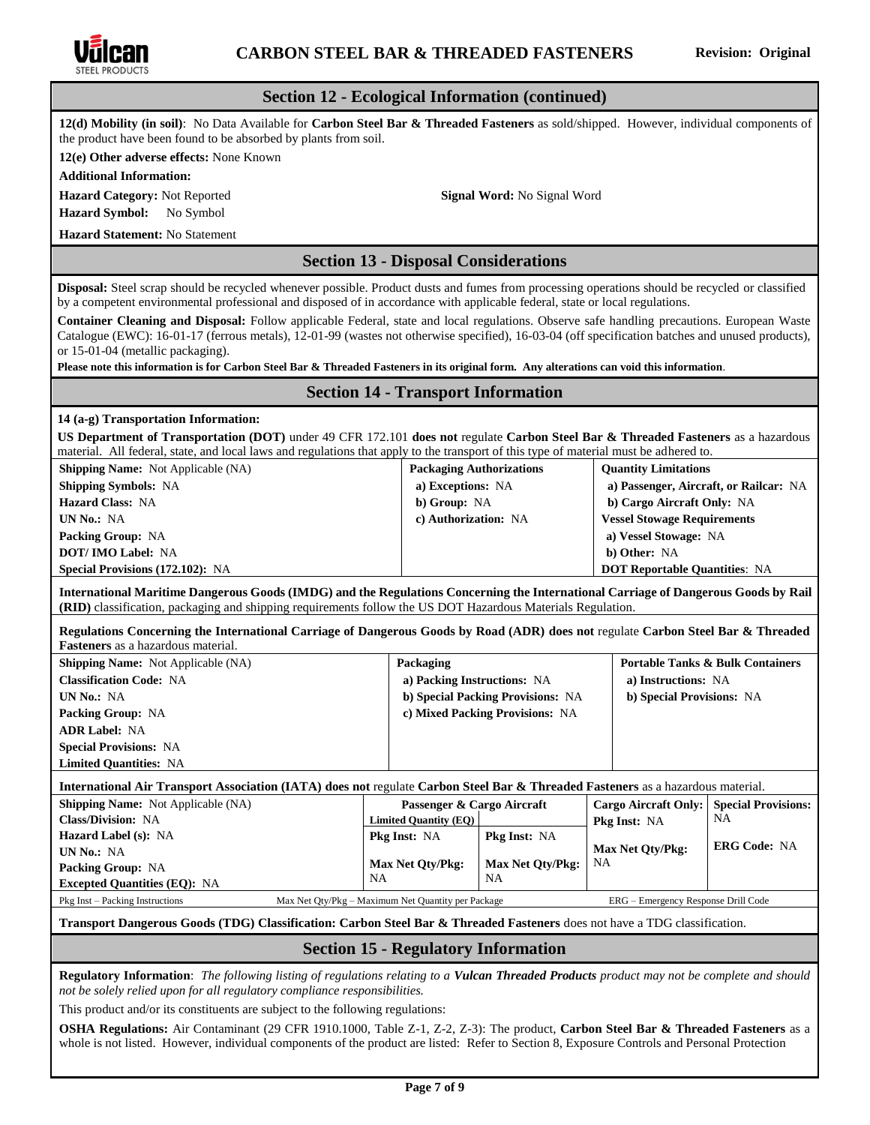

| SIEEL PRODUCTS                                                                                                                                                                                                                                                                                                                      |                                                                       |                                    |                                        |                                             |  |  |
|-------------------------------------------------------------------------------------------------------------------------------------------------------------------------------------------------------------------------------------------------------------------------------------------------------------------------------------|-----------------------------------------------------------------------|------------------------------------|----------------------------------------|---------------------------------------------|--|--|
| <b>Section 12 - Ecological Information (continued)</b>                                                                                                                                                                                                                                                                              |                                                                       |                                    |                                        |                                             |  |  |
| 12(d) Mobility (in soil): No Data Available for Carbon Steel Bar & Threaded Fasteners as sold/shipped. However, individual components of<br>the product have been found to be absorbed by plants from soil.                                                                                                                         |                                                                       |                                    |                                        |                                             |  |  |
| 12(e) Other adverse effects: None Known                                                                                                                                                                                                                                                                                             |                                                                       |                                    |                                        |                                             |  |  |
| <b>Additional Information:</b>                                                                                                                                                                                                                                                                                                      |                                                                       |                                    |                                        |                                             |  |  |
| Hazard Category: Not Reported                                                                                                                                                                                                                                                                                                       |                                                                       | <b>Signal Word:</b> No Signal Word |                                        |                                             |  |  |
| <b>Hazard Symbol:</b><br>No Symbol                                                                                                                                                                                                                                                                                                  |                                                                       |                                    |                                        |                                             |  |  |
| <b>Hazard Statement: No Statement</b>                                                                                                                                                                                                                                                                                               |                                                                       |                                    |                                        |                                             |  |  |
|                                                                                                                                                                                                                                                                                                                                     | <b>Section 13 - Disposal Considerations</b>                           |                                    |                                        |                                             |  |  |
| <b>Disposal:</b> Steel scrap should be recycled whenever possible. Product dusts and fumes from processing operations should be recycled or classified                                                                                                                                                                              |                                                                       |                                    |                                        |                                             |  |  |
| by a competent environmental professional and disposed of in accordance with applicable federal, state or local regulations.                                                                                                                                                                                                        |                                                                       |                                    |                                        |                                             |  |  |
| Container Cleaning and Disposal: Follow applicable Federal, state and local regulations. Observe safe handling precautions. European Waste<br>Catalogue (EWC): 16-01-17 (ferrous metals), 12-01-99 (wastes not otherwise specified), 16-03-04 (off specification batches and unused products),<br>or 15-01-04 (metallic packaging). |                                                                       |                                    |                                        |                                             |  |  |
| Please note this information is for Carbon Steel Bar & Threaded Fasteners in its original form. Any alterations can void this information.                                                                                                                                                                                          |                                                                       |                                    |                                        |                                             |  |  |
|                                                                                                                                                                                                                                                                                                                                     | <b>Section 14 - Transport Information</b>                             |                                    |                                        |                                             |  |  |
| 14 (a-g) Transportation Information:                                                                                                                                                                                                                                                                                                |                                                                       |                                    |                                        |                                             |  |  |
| US Department of Transportation (DOT) under 49 CFR 172.101 does not regulate Carbon Steel Bar & Threaded Fasteners as a hazardous<br>material. All federal, state, and local laws and regulations that apply to the transport of this type of material must be adhered to.                                                          |                                                                       |                                    |                                        |                                             |  |  |
| Shipping Name: Not Applicable (NA)                                                                                                                                                                                                                                                                                                  |                                                                       | <b>Packaging Authorizations</b>    | <b>Quantity Limitations</b>            |                                             |  |  |
| <b>Shipping Symbols: NA</b>                                                                                                                                                                                                                                                                                                         | a) Exceptions: NA                                                     |                                    | a) Passenger, Aircraft, or Railcar: NA |                                             |  |  |
| <b>Hazard Class: NA</b>                                                                                                                                                                                                                                                                                                             | b) Group: NA                                                          |                                    | b) Cargo Aircraft Only: NA             |                                             |  |  |
| UN No.: NA                                                                                                                                                                                                                                                                                                                          | c) Authorization: NA                                                  |                                    | <b>Vessel Stowage Requirements</b>     |                                             |  |  |
| Packing Group: NA                                                                                                                                                                                                                                                                                                                   |                                                                       |                                    | a) Vessel Stowage: NA                  |                                             |  |  |
| <b>DOT/IMO Label: NA</b>                                                                                                                                                                                                                                                                                                            |                                                                       |                                    | b) Other: NA                           |                                             |  |  |
| Special Provisions (172.102): NA                                                                                                                                                                                                                                                                                                    |                                                                       |                                    | <b>DOT Reportable Quantities: NA</b>   |                                             |  |  |
| International Maritime Dangerous Goods (IMDG) and the Regulations Concerning the International Carriage of Dangerous Goods by Rail<br>(RID) classification, packaging and shipping requirements follow the US DOT Hazardous Materials Regulation.                                                                                   |                                                                       |                                    |                                        |                                             |  |  |
| Regulations Concerning the International Carriage of Dangerous Goods by Road (ADR) does not regulate Carbon Steel Bar & Threaded<br><b>Fasteners</b> as a hazardous material.                                                                                                                                                       |                                                                       |                                    |                                        |                                             |  |  |
| Shipping Name: Not Applicable (NA)                                                                                                                                                                                                                                                                                                  | Packaging                                                             |                                    |                                        | <b>Portable Tanks &amp; Bulk Containers</b> |  |  |
| <b>Classification Code: NA</b>                                                                                                                                                                                                                                                                                                      |                                                                       | a) Packing Instructions: NA        | a) Instructions: NA                    |                                             |  |  |
| UN No.: NA                                                                                                                                                                                                                                                                                                                          |                                                                       | b) Special Packing Provisions: NA  | b) Special Provisions: NA              |                                             |  |  |
| Packing Group: NA                                                                                                                                                                                                                                                                                                                   |                                                                       | c) Mixed Packing Provisions: NA    |                                        |                                             |  |  |
| <b>ADR Label: NA</b>                                                                                                                                                                                                                                                                                                                |                                                                       |                                    |                                        |                                             |  |  |
| <b>Special Provisions: NA</b>                                                                                                                                                                                                                                                                                                       |                                                                       |                                    |                                        |                                             |  |  |
| <b>Limited Quantities: NA</b>                                                                                                                                                                                                                                                                                                       |                                                                       |                                    |                                        |                                             |  |  |
| International Air Transport Association (IATA) does not regulate Carbon Steel Bar & Threaded Fasteners as a hazardous material.                                                                                                                                                                                                     |                                                                       |                                    |                                        |                                             |  |  |
| <b>Shipping Name:</b> Not Applicable (NA)                                                                                                                                                                                                                                                                                           | Passenger & Cargo Aircraft                                            |                                    | <b>Cargo Aircraft Only:</b>            | <b>Special Provisions:</b>                  |  |  |
| Class/Division: NA                                                                                                                                                                                                                                                                                                                  | <b>Limited Quantity (EQ)</b><br>NA.<br>Pkg Inst: NA                   |                                    |                                        |                                             |  |  |
| Hazard Label (s): NA                                                                                                                                                                                                                                                                                                                | Pkg Inst: NA<br>Pkg Inst: NA                                          |                                    |                                        |                                             |  |  |
| UN No.: NA                                                                                                                                                                                                                                                                                                                          | <b>ERG Code: NA</b><br><b>Max Net Oty/Pkg:</b>                        |                                    |                                        |                                             |  |  |
| Packing Group: NA                                                                                                                                                                                                                                                                                                                   | NA<br><b>Max Net Qty/Pkg:</b><br><b>Max Net Qty/Pkg:</b><br>NA.<br>NA |                                    |                                        |                                             |  |  |
| <b>Excepted Quantities (EQ): NA</b>                                                                                                                                                                                                                                                                                                 |                                                                       |                                    |                                        |                                             |  |  |
| Pkg Inst - Packing Instructions<br>Max Net Qty/Pkg - Maximum Net Quantity per Package<br>ERG - Emergency Response Drill Code                                                                                                                                                                                                        |                                                                       |                                    |                                        |                                             |  |  |
| Transport Dangerous Goods (TDG) Classification: Carbon Steel Bar & Threaded Fasteners does not have a TDG classification.                                                                                                                                                                                                           |                                                                       |                                    |                                        |                                             |  |  |
| <b>Section 15 - Regulatory Information</b>                                                                                                                                                                                                                                                                                          |                                                                       |                                    |                                        |                                             |  |  |
| Regulatory Information: The following listing of regulations relating to a Vulcan Threaded Products product may not be complete and should<br>not be solely relied upon for all regulatory compliance responsibilities.                                                                                                             |                                                                       |                                    |                                        |                                             |  |  |

This product and/or its constituents are subject to the following regulations:

**OSHA Regulations:** Air Contaminant (29 CFR 1910.1000, Table Z-1, Z-2, Z-3): The product, **Carbon Steel Bar & Threaded Fasteners** as a whole is not listed. However, individual components of the product are listed: Refer to Section 8, Exposure Controls and Personal Protection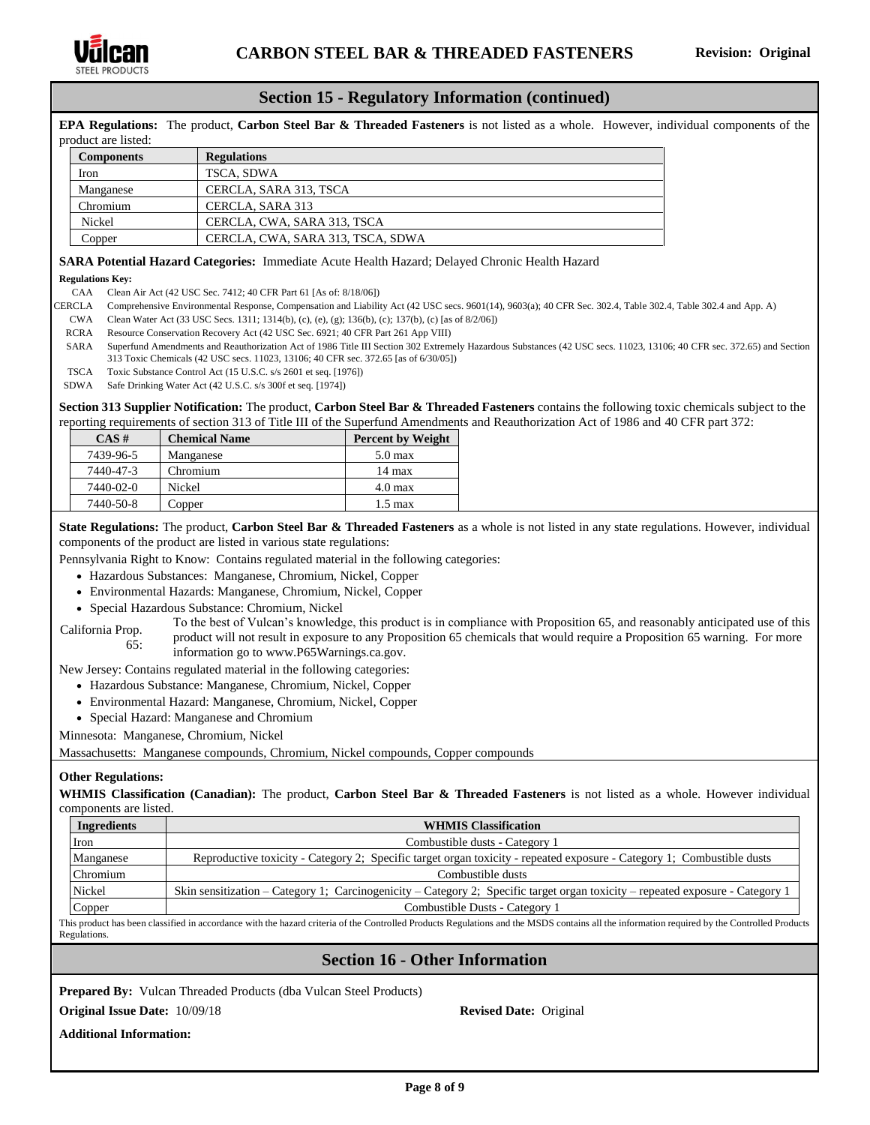

### **Section 15 - Regulatory Information (continued)**

**EPA Regulations:** The product, **Carbon Steel Bar & Threaded Fasteners** is not listed as a whole. However, individual components of the product are listed:

| <b>Components</b> | <b>Regulations</b>                |
|-------------------|-----------------------------------|
| Iron              | TSCA, SDWA                        |
| Manganese         | CERCLA, SARA 313, TSCA            |
| Chromium          | CERCLA, SARA 313                  |
| Nickel            | CERCLA, CWA, SARA 313, TSCA       |
| Copper            | CERCLA, CWA, SARA 313, TSCA, SDWA |

### **SARA Potential Hazard Categories:** Immediate Acute Health Hazard; Delayed Chronic Health Hazard

#### **Regulations Key:**

CAA Clean Air Act (42 USC Sec. 7412; 40 CFR Part 61 [As of: 8/18/06])

CERCLA Comprehensive Environmental Response, Compensation and Liability Act (42 USC secs. 9601(14), 9603(a); 40 CFR Sec. 302.4, Table 302.4, Table 302.4 and App. A)

- CWA Clean Water Act (33 USC Secs. 1311; 1314(b), (c), (e), (g); 136(b), (c); 137(b), (c) [as of 8/2/06])
- RCRA Resource Conservation Recovery Act (42 USC Sec. 6921; 40 CFR Part 261 App VIII)
- SARA Superfund Amendments and Reauthorization Act of 1986 Title III Section 302 Extremely Hazardous Substances (42 USC secs. 11023, 13106; 40 CFR sec. 372.65) and Section 313 Toxic Chemicals (42 USC secs. 11023, 13106; 40 CFR sec. 372.65 [as of 6/30/05])
- TSCA Toxic Substance Control Act (15 U.S.C. s/s 2601 et seq. [1976])
- SDWA Safe Drinking Water Act (42 U.S.C. s/s 300f et seq. [1974])

**Section 313 Supplier Notification:** The product, **Carbon Steel Bar & Threaded Fasteners** contains the following toxic chemicals subject to the reporting requirements of section 313 of Title III of the Superfund Amendments and Reauthorization Act of 1986 and 40 CFR part 372:

| CAS#      | <b>Chemical Name</b> | <b>Percent by Weight</b> |
|-----------|----------------------|--------------------------|
| 7439-96-5 | Manganese            | $5.0 \,\mathrm{max}$     |
| 7440-47-3 | Chromium             | 14 max                   |
| 7440-02-0 | Nickel               | $4.0 \text{ max}$        |
| 7440-50-8 | Copper               | $1.5 \text{ max}$        |

**State Regulations:** The product, **Carbon Steel Bar & Threaded Fasteners** as a whole is not listed in any state regulations. However, individual components of the product are listed in various state regulations:

Pennsylvania Right to Know: Contains regulated material in the following categories:

- Hazardous Substances: Manganese, Chromium, Nickel, Copper
- Environmental Hazards: Manganese, Chromium, Nickel, Copper
- Special Hazardous Substance: Chromium, Nickel

California Prop. 65: To the best of Vulcan's knowledge, this product is in compliance with Proposition 65, and reasonably anticipated use of this product will not result in exposure to any Proposition 65 chemicals that would require a Proposition 65 warning. For more information go to www.P65Warnings.ca.gov.

New Jersey: Contains regulated material in the following categories:

- Hazardous Substance: Manganese, Chromium, Nickel, Copper
- Environmental Hazard: Manganese, Chromium, Nickel, Copper
- Special Hazard: Manganese and Chromium

Minnesota: Manganese, Chromium, Nickel

Massachusetts: Manganese compounds, Chromium, Nickel compounds, Copper compounds

#### **Other Regulations:**

**WHMIS Classification (Canadian):** The product, **Carbon Steel Bar & Threaded Fasteners** is not listed as a whole. However individual components are listed.

| <b>WHMIS Classification</b>                                                                                                    |  |  |
|--------------------------------------------------------------------------------------------------------------------------------|--|--|
| Combustible dusts - Category 1                                                                                                 |  |  |
| Reproductive toxicity - Category 2; Specific target organ toxicity - repeated exposure - Category 1; Combustible dusts         |  |  |
| Combustible dusts                                                                                                              |  |  |
| Skin sensitization – Category 1; Carcinogenicity – Category 2; Specific target organ toxicity – repeated exposure - Category 1 |  |  |
| Combustible Dusts - Category 1<br>Copper                                                                                       |  |  |
|                                                                                                                                |  |  |

This product has been classified in accordance with the hazard criteria of the Controlled Products Regulations and the MSDS contains all the information required by the Controlled Products Regulations.

# **Section 16 - Other Information**

**Prepared By:** Vulcan Threaded Products (dba Vulcan Steel Products)

#### **Original Issue Date:** 10/09/18 **Revised Date:** Original

**Additional Information:**